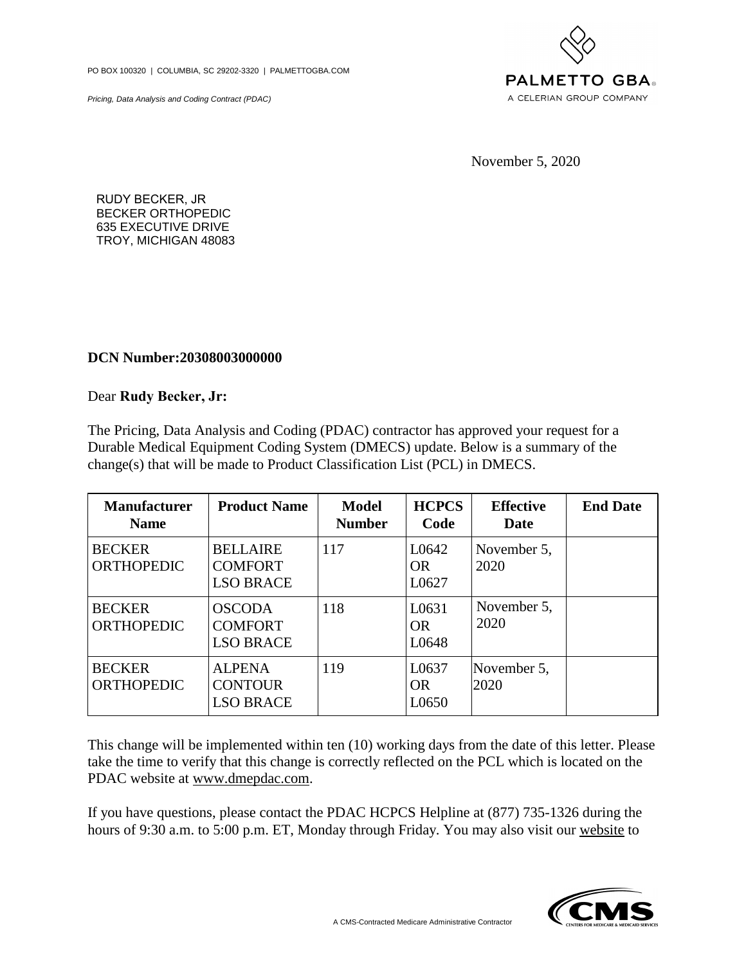Pricing, Data Analysis and Coding Contract (PDAC)



RUDY BECKER, JR BECKER ORTHOPEDIC 635 EXECUTIVE DRIVE TROY, MICHIGAN 48083

## **DCN Number:20308003000000**

Dear **Rudy Becker, Jr:**

| <b>Manufacturer</b><br><b>Name</b> | <b>Product Name</b>                                   | <b>Model</b><br><b>Number</b> | <b>HCPCS</b><br>Code        | <b>Effective</b><br>Date | <b>End Date</b> |
|------------------------------------|-------------------------------------------------------|-------------------------------|-----------------------------|--------------------------|-----------------|
| <b>BECKER</b><br><b>ORTHOPEDIC</b> | <b>BELLAIRE</b><br><b>COMFORT</b><br><b>LSO BRACE</b> | 117                           | L0642<br><b>OR</b><br>L0627 | November 5,<br>2020      |                 |
| <b>BECKER</b><br><b>ORTHOPEDIC</b> | <b>OSCODA</b><br><b>COMFORT</b><br><b>LSO BRACE</b>   | 118                           | L0631<br><b>OR</b><br>L0648 | November 5,<br>2020      |                 |
| <b>BECKER</b><br><b>ORTHOPEDIC</b> | <b>ALPENA</b><br><b>CONTOUR</b><br><b>LSO BRACE</b>   | 119                           | L0637<br><b>OR</b><br>L0650 | November 5,<br>2020      |                 |

Thischange will be implemented within ten (10) working days from the date of this letter. Please take the time to verify that this change is correctly reflected on the PCL which is located on the PDAC website at <u>www.dmep</u> ESO BRACE<br>
ESO BRACE<br>
This change will be implemented within terestive the time to verify that this change is compared.<br>
PDAC website at www.dmepdac.com. Thischange will be implemented within ten (10) working days from the date of this letter. Please take the time to verify that this change is correctly reflected on the PCL which is located on the PDAC website at <u>www.dmep</u> This change will be implemented within ten (10) working days from the date of this letter. Please take the time to verify that this change is correctly reflected on the PCL which is located on the PDAC website at <u>www.dmep</u>